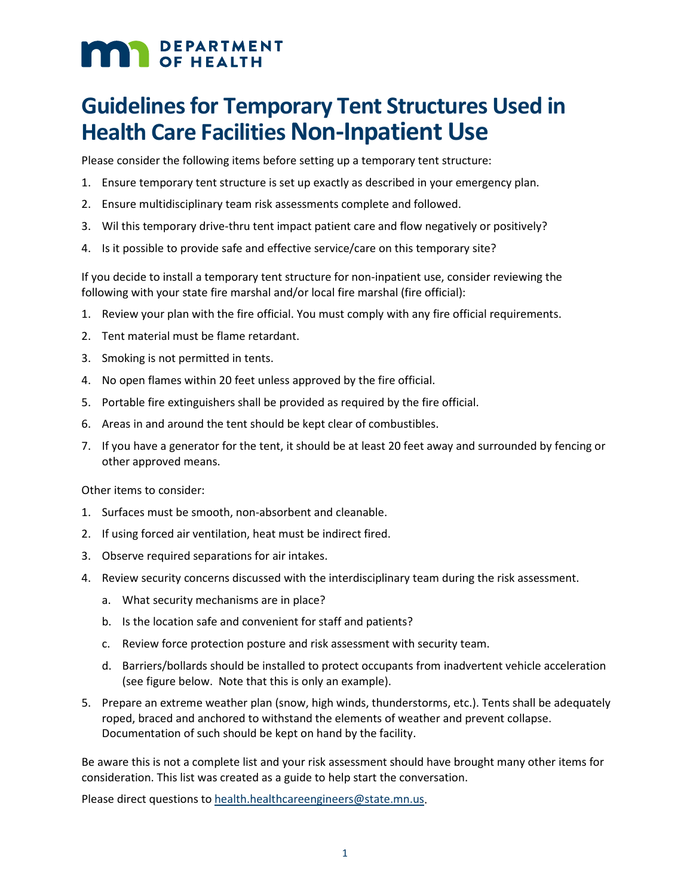## **MAN** DEPARTMENT

## **Guidelines for Temporary Tent Structures Used in Health Care Facilities Non-Inpatient Use**

Please consider the following items before setting up a temporary tent structure:

- 1. Ensure temporary tent structure is set up exactly as described in your emergency plan.
- 2. Ensure multidisciplinary team risk assessments complete and followed.
- 3. Wil this temporary drive-thru tent impact patient care and flow negatively or positively?
- 4. Is it possible to provide safe and effective service/care on this temporary site?

If you decide to install a temporary tent structure for non-inpatient use, consider reviewing the following with your state fire marshal and/or local fire marshal (fire official):

- 1. Review your plan with the fire official. You must comply with any fire official requirements.
- 2. Tent material must be flame retardant.
- 3. Smoking is not permitted in tents.
- 4. No open flames within 20 feet unless approved by the fire official.
- 5. Portable fire extinguishers shall be provided as required by the fire official.
- 6. Areas in and around the tent should be kept clear of combustibles.
- 7. If you have a generator for the tent, it should be at least 20 feet away and surrounded by fencing or other approved means.

Other items to consider:

- 1. Surfaces must be smooth, non-absorbent and cleanable.
- 2. If using forced air ventilation, heat must be indirect fired.
- 3. Observe required separations for air intakes.
- 4. Review security concerns discussed with the interdisciplinary team during the risk assessment.
	- a. What security mechanisms are in place?
	- b. Is the location safe and convenient for staff and patients?
	- c. Review force protection posture and risk assessment with security team.
	- d. Barriers/bollards should be installed to protect occupants from inadvertent vehicle acceleration (see figure below. Note that this is only an example).
- 5. Prepare an extreme weather plan (snow, high winds, thunderstorms, etc.). Tents shall be adequately roped, braced and anchored to withstand the elements of weather and prevent collapse. Documentation of such should be kept on hand by the facility.

Be aware this is not a complete list and your risk assessment should have brought many other items for consideration. This list was created as a guide to help start the conversation.

Please direct questions t[o health.healthcareengineers@state.mn.us.](mailto:health.healthcareengineers@state.mn.us)